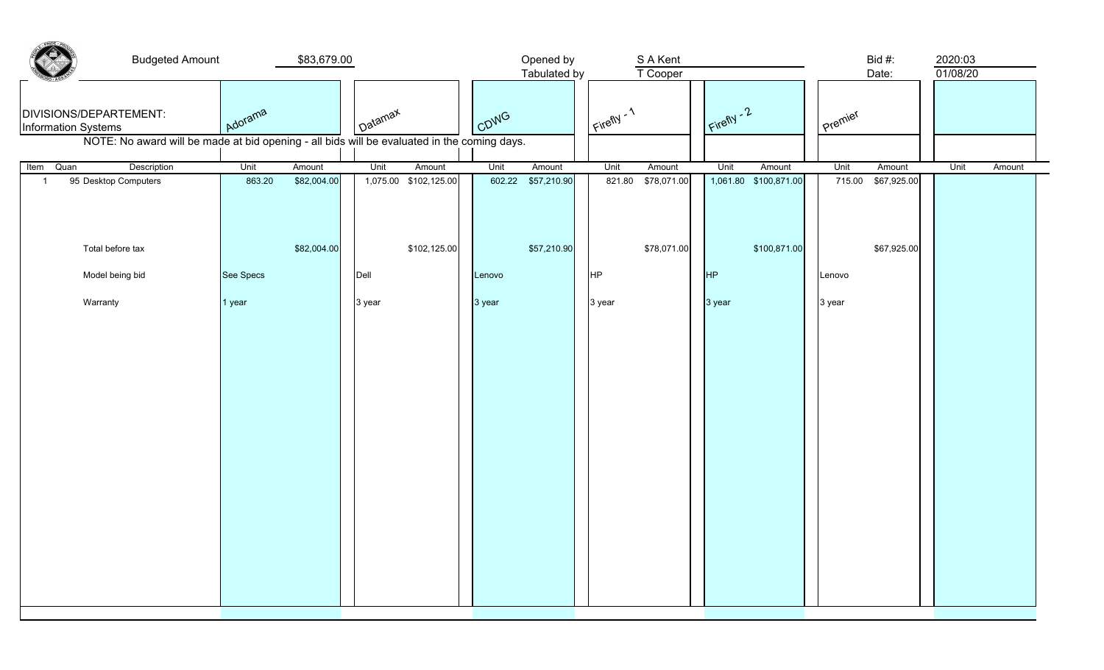| <b>Budgeted Amount</b><br>\$83,679.00                                                       |           |             | Opened by<br>S A Kent<br>T Cooper<br>Tabulated by |                       |        |             |             |             |             |                       | Bid #:<br>Date: |             | 2020:03<br>01/08/20 |        |
|---------------------------------------------------------------------------------------------|-----------|-------------|---------------------------------------------------|-----------------------|--------|-------------|-------------|-------------|-------------|-----------------------|-----------------|-------------|---------------------|--------|
| DIVISIONS/DEPARTEMENT:<br>Information Systems                                               | Adorama   |             | I Datamax                                         |                       | CDWG   |             | Eirefly - 1 |             | Firefly - 2 |                       | Premier         |             |                     |        |
| NOTE: No award will be made at bid opening - all bids will be evaluated in the coming days. |           |             |                                                   |                       |        |             |             |             |             |                       |                 |             |                     |        |
| Description<br>Item<br>Quan                                                                 | Unit      | Amount      | Unit                                              | Amount                | Unit   | Amount      | Unit        | Amount      | Unit        | Amount                | Unit            | Amount      | Unit                | Amount |
| 95 Desktop Computers<br>$\overline{1}$                                                      | 863.20    | \$82,004.00 |                                                   | 1,075.00 \$102,125.00 | 602.22 | \$57,210.90 | 821.80      | \$78,071.00 |             | 1,061.80 \$100,871.00 | 715.00          | \$67,925.00 |                     |        |
| Total before tax                                                                            |           | \$82,004.00 |                                                   | \$102,125.00          |        | \$57,210.90 |             | \$78,071.00 |             | \$100,871.00          |                 | \$67,925.00 |                     |        |
| Model being bid                                                                             | See Specs |             | Dell                                              |                       | Lenovo |             | HP          |             | <b>HP</b>   |                       | Lenovo          |             |                     |        |
| Warranty                                                                                    | 1 year    |             | 3 year                                            |                       | 3 year |             | 3 year      |             | 3 year      |                       | 3 year          |             |                     |        |
|                                                                                             |           |             |                                                   |                       |        |             |             |             |             |                       |                 |             |                     |        |
|                                                                                             |           |             |                                                   |                       |        |             |             |             |             |                       |                 |             |                     |        |
|                                                                                             |           |             |                                                   |                       |        |             |             |             |             |                       |                 |             |                     |        |